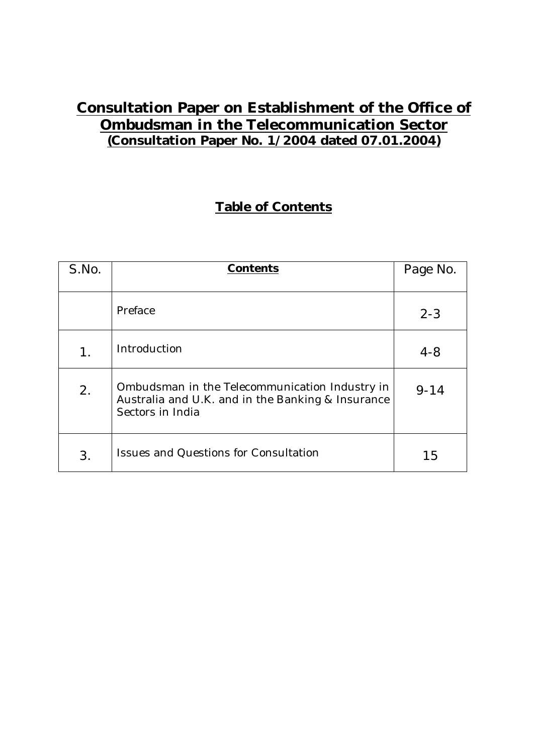# **Consultation Paper on Establishment of the Office of Ombudsman in the Telecommunication Sector (Consultation Paper No. 1/2004 dated 07.01.2004)**

## **Table of Contents**

| S.No. | <b>Contents</b>                                                                                                         | Page No. |
|-------|-------------------------------------------------------------------------------------------------------------------------|----------|
|       |                                                                                                                         |          |
|       | Preface                                                                                                                 | $2 - 3$  |
| 1.    | Introduction                                                                                                            | $4 - 8$  |
| 2.    | Ombudsman in the Telecommunication Industry in<br>Australia and U.K. and in the Banking & Insurance<br>Sectors in India | $9 - 14$ |
| 3.    | <b>Issues and Questions for Consultation</b>                                                                            | 15       |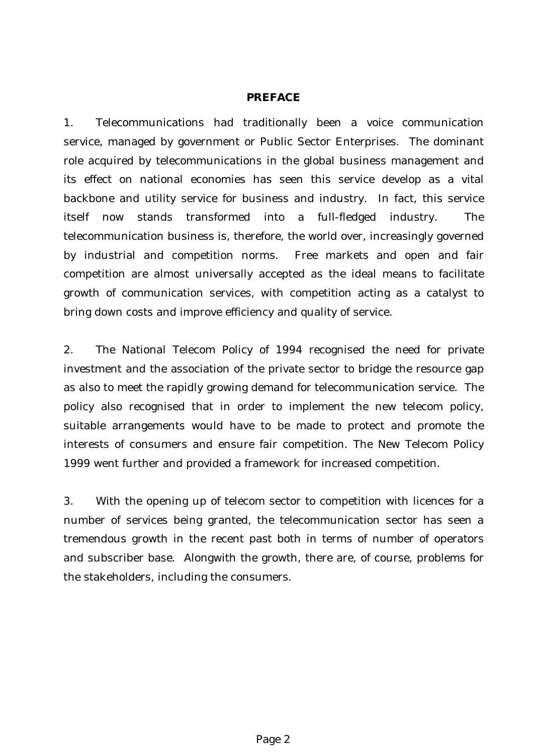#### **PREFACE**

1. Telecommunications had traditionally been a voice communication service, managed by government or Public Sector Enterprises. The dominant role acquired by telecommunications in the global business management and its effect on national economies has seen this service develop as a vital backbone and utility service for business and industry. In fact, this service itself now stands transformed into a full-fledged industry. The telecommunication business is, therefore, the world over, increasingly governed by industrial and competition norms. Free markets and open and fair competition are almost universally accepted as the ideal means to facilitate growth of communication services, with competition acting as a catalyst to bring down costs and improve efficiency and quality of service.

2. The National Telecom Policy of 1994 recognised the need for private investment and the association of the private sector to bridge the resource gap as also to meet the rapidly growing demand for telecommunication service. The policy also recognised that in order to implement the new telecom policy, suitable arrangements would have to be made to protect and promote the interests of consumers and ensure fair competition. The New Telecom Policy 1999 went further and provided a framework for increased competition.

3. With the opening up of telecom sector to competition with licences for a number of services being granted, the telecommunication sector has seen a tremendous growth in the recent past both in terms of number of operators and subscriber base. Alongwith the growth, there are, of course, problems for the stakeholders, including the consumers.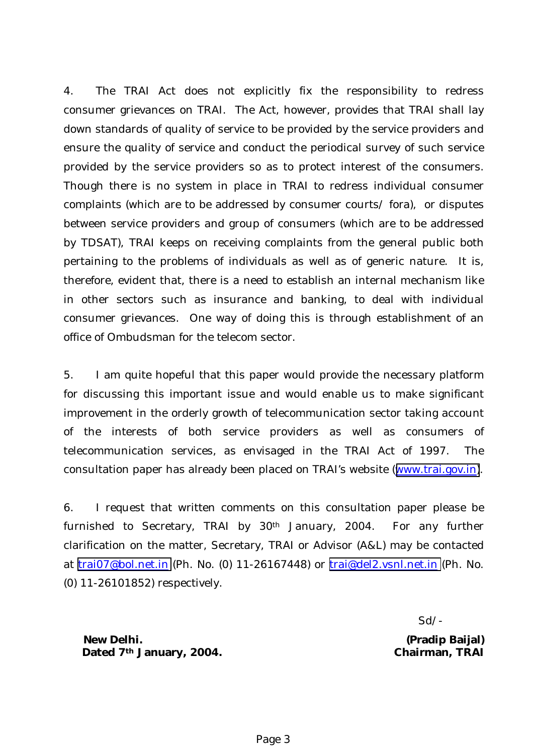4. The TRAI Act does not explicitly fix the responsibility to redress consumer grievances on TRAI. The Act, however, provides that TRAI shall lay down standards of quality of service to be provided by the service providers and ensure the quality of service and conduct the periodical survey of such service provided by the service providers so as to protect interest of the consumers. Though there is no system in place in TRAI to redress individual consumer complaints (which are to be addressed by consumer courts/ fora), or disputes between service providers and group of consumers (which are to be addressed by TDSAT), TRAI keeps on receiving complaints from the general public both pertaining to the problems of individuals as well as of generic nature. It is, therefore, evident that, there is a need to establish an internal mechanism like in other sectors such as insurance and banking, to deal with individual consumer grievances. One way of doing this is through establishment of an office of Ombudsman for the telecom sector.

5. I am quite hopeful that this paper would provide the necessary platform for discussing this important issue and would enable us to make significant improvement in the orderly growth of telecommunication sector taking account of the interests of both service providers as well as consumers of telecommunication services, as envisaged in the TRAI Act of 1997. The consultation paper has already been placed on TRAI's website ([www.trai.gov.in\)](http://www.trai.gov.in/).

6. I request that written comments on this consultation paper please be furnished to Secretary, TRAI by 30th January, 2004. For any further clarification on the matter, Secretary, TRAI or Advisor (A&L) may be contacted at [trai07@bol.net.in](mailto:trai07@bol.net.in) (Ph. No. (0) 11-26167448) or [trai@del2.vsnl.net.in](mailto:trai@del2.vsnl.net.in) (Ph. No. (0) 11-26101852) respectively.

Sd/-

**New Delhi. (Pradip Baijal) Dated 7th January, 2004. Chairman, TRAI**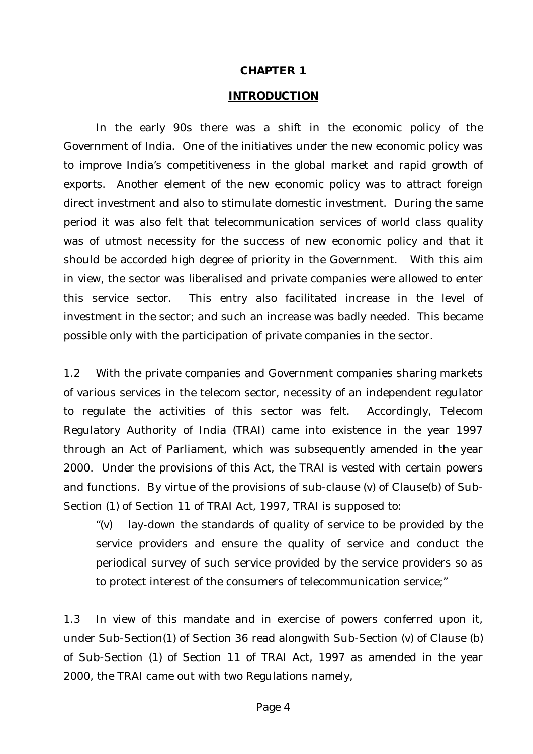#### **CHAPTER 1**

#### **INTRODUCTION**

 In the early 90s there was a shift in the economic policy of the Government of India. One of the initiatives under the new economic policy was to improve India's competitiveness in the global market and rapid growth of exports. Another element of the new economic policy was to attract foreign direct investment and also to stimulate domestic investment. During the same period it was also felt that telecommunication services of world class quality was of utmost necessity for the success of new economic policy and that it should be accorded high degree of priority in the Government. With this aim in view, the sector was liberalised and private companies were allowed to enter this service sector. This entry also facilitated increase in the level of investment in the sector; and such an increase was badly needed. This became possible only with the participation of private companies in the sector.

1.2 With the private companies and Government companies sharing markets of various services in the telecom sector, necessity of an independent regulator to regulate the activities of this sector was felt. Accordingly, Telecom Regulatory Authority of India (TRAI) came into existence in the year 1997 through an Act of Parliament, which was subsequently amended in the year 2000. Under the provisions of this Act, the TRAI is vested with certain powers and functions. By virtue of the provisions of sub-clause (v) of Clause(b) of Sub-Section (1) of Section 11 of TRAI Act, 1997, TRAI is supposed to:

"(v) lay-down the standards of quality of service to be provided by the service providers and ensure the quality of service and conduct the periodical survey of such service provided by the service providers so as to protect interest of the consumers of telecommunication service;"

1.3 In view of this mandate and in exercise of powers conferred upon it, under Sub-Section(1) of Section 36 read alongwith Sub-Section (v) of Clause (b) of Sub-Section (1) of Section 11 of TRAI Act, 1997 as amended in the year 2000, the TRAI came out with two Regulations namely,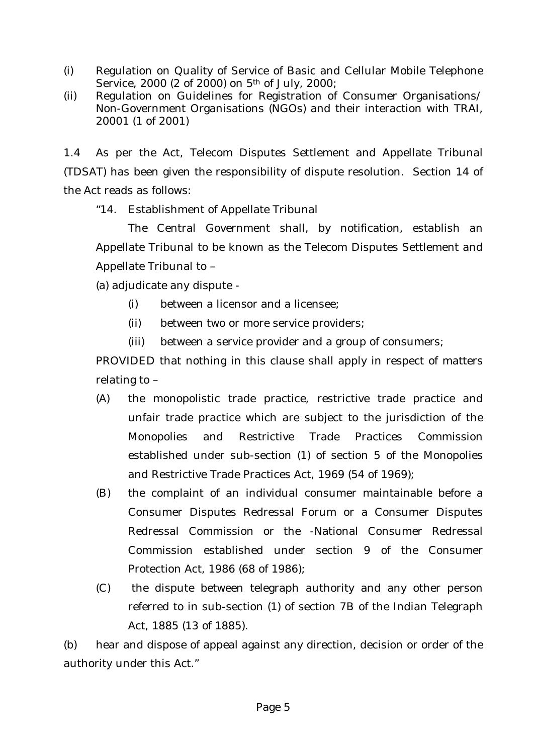- (i) Regulation on Quality of Service of Basic and Cellular Mobile Telephone Service, 2000 (2 of 2000) on 5th of July, 2000;
- (ii) Regulation on Guidelines for Registration of Consumer Organisations/ Non-Government Organisations (NGOs) and their interaction with TRAI, 20001 (1 of 2001)

1.4 As per the Act, Telecom Disputes Settlement and Appellate Tribunal (TDSAT) has been given the responsibility of dispute resolution. Section 14 of the Act reads as follows:

"14. Establishment of Appellate Tribunal

 The Central Government shall, by notification, establish an Appellate Tribunal to be known as the Telecom Disputes Settlement and Appellate Tribunal to –

(a) adjudicate any dispute -

- (i) between a licensor and a licensee;
- (ii) between two or more service providers;
- (iii) between a service provider and a group of consumers;

PROVIDED that nothing in this clause shall apply in respect of matters relating to –

- (A) the monopolistic trade practice, restrictive trade practice and unfair trade practice which are subject to the jurisdiction of the Monopolies and Restrictive Trade Practices Commission established under sub-section (1) of section 5 of the Monopolies and Restrictive Trade Practices Act, 1969 (54 of 1969);
- (B) the complaint of an individual consumer maintainable before a Consumer Disputes Redressal Forum or a Consumer Disputes Redressal Commission or the -National Consumer Redressal Commission established under section 9 of the Consumer Protection Act, 1986 (68 of 1986);
- (C) the dispute between telegraph authority and any other person referred to in sub-section (1) of section 7B of the Indian Telegraph Act, 1885 (13 of 1885).

(b) hear and dispose of appeal against any direction, decision or order of the authority under this Act."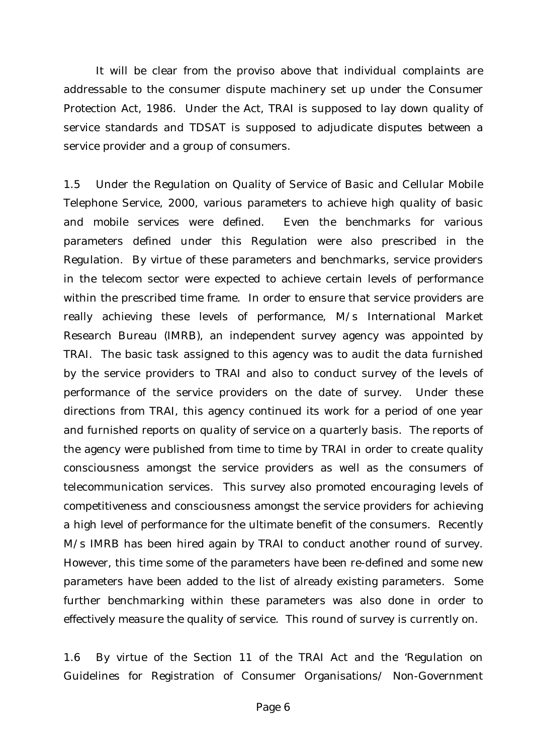It will be clear from the proviso above that individual complaints are addressable to the consumer dispute machinery set up under the Consumer Protection Act, 1986. Under the Act, TRAI is supposed to lay down quality of service standards and TDSAT is supposed to adjudicate disputes between a service provider and a group of consumers.

1.5 Under the Regulation on Quality of Service of Basic and Cellular Mobile Telephone Service, 2000, various parameters to achieve high quality of basic and mobile services were defined. Even the benchmarks for various parameters defined under this Regulation were also prescribed in the Regulation. By virtue of these parameters and benchmarks, service providers in the telecom sector were expected to achieve certain levels of performance within the prescribed time frame. In order to ensure that service providers are really achieving these levels of performance, M/s International Market Research Bureau (IMRB), an independent survey agency was appointed by TRAI. The basic task assigned to this agency was to audit the data furnished by the service providers to TRAI and also to conduct survey of the levels of performance of the service providers on the date of survey. Under these directions from TRAI, this agency continued its work for a period of one year and furnished reports on quality of service on a quarterly basis. The reports of the agency were published from time to time by TRAI in order to create quality consciousness amongst the service providers as well as the consumers of telecommunication services. This survey also promoted encouraging levels of competitiveness and consciousness amongst the service providers for achieving a high level of performance for the ultimate benefit of the consumers. Recently M/s IMRB has been hired again by TRAI to conduct another round of survey. However, this time some of the parameters have been re-defined and some new parameters have been added to the list of already existing parameters. Some further benchmarking within these parameters was also done in order to effectively measure the quality of service. This round of survey is currently on.

1.6 By virtue of the Section 11 of the TRAI Act and the 'Regulation on Guidelines for Registration of Consumer Organisations/ Non-Government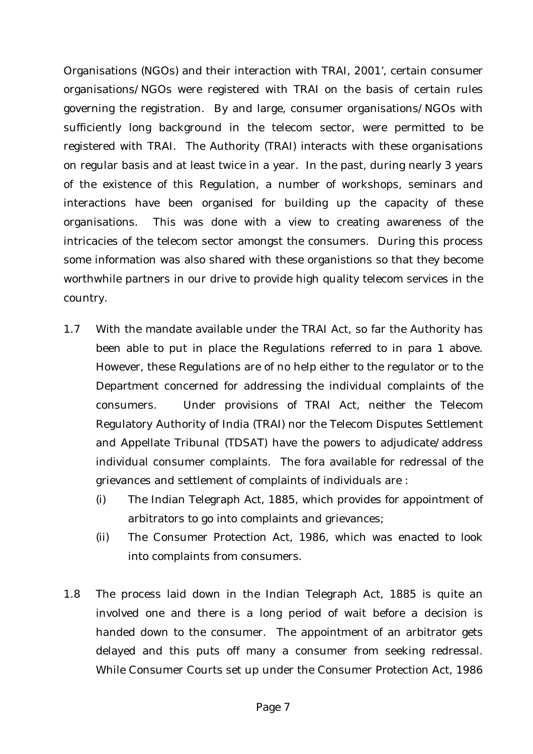Organisations (NGOs) and their interaction with TRAI, 2001', certain consumer organisations/NGOs were registered with TRAI on the basis of certain rules governing the registration. By and large, consumer organisations/NGOs with sufficiently long background in the telecom sector, were permitted to be registered with TRAI. The Authority (TRAI) interacts with these organisations on regular basis and at least twice in a year. In the past, during nearly 3 years of the existence of this Regulation, a number of workshops, seminars and interactions have been organised for building up the capacity of these organisations. This was done with a view to creating awareness of the intricacies of the telecom sector amongst the consumers. During this process some information was also shared with these organistions so that they become worthwhile partners in our drive to provide high quality telecom services in the country.

- 1.7 With the mandate available under the TRAI Act, so far the Authority has been able to put in place the Regulations referred to in para 1 above. However, these Regulations are of no help either to the regulator or to the Department concerned for addressing the individual complaints of the consumers. Under provisions of TRAI Act, neither the Telecom Regulatory Authority of India (TRAI) nor the Telecom Disputes Settlement and Appellate Tribunal (TDSAT) have the powers to adjudicate/address individual consumer complaints. The fora available for redressal of the grievances and settlement of complaints of individuals are :
	- (i) The Indian Telegraph Act, 1885, which provides for appointment of arbitrators to go into complaints and grievances;
	- (ii) The Consumer Protection Act, 1986, which was enacted to look into complaints from consumers.
- 1.8 The process laid down in the Indian Telegraph Act, 1885 is quite an involved one and there is a long period of wait before a decision is handed down to the consumer. The appointment of an arbitrator gets delayed and this puts off many a consumer from seeking redressal. While Consumer Courts set up under the Consumer Protection Act, 1986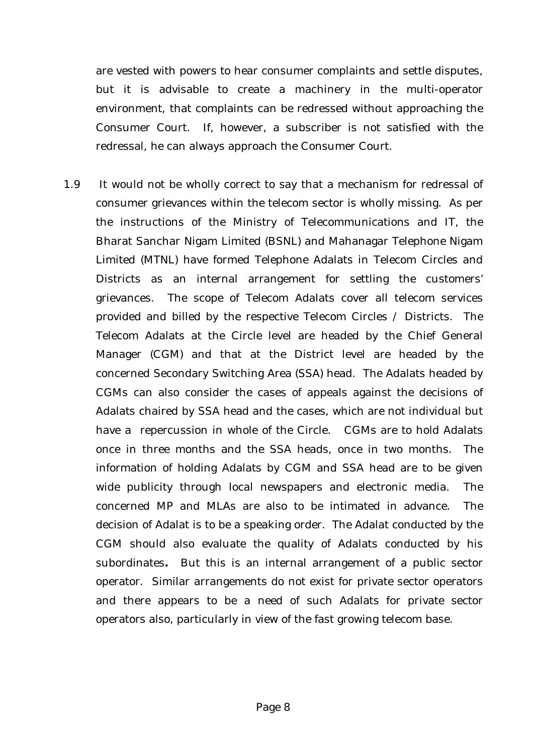are vested with powers to hear consumer complaints and settle disputes, but it is advisable to create a machinery in the multi-operator environment, that complaints can be redressed without approaching the Consumer Court. If, however, a subscriber is not satisfied with the redressal, he can always approach the Consumer Court.

1.9 It would not be wholly correct to say that a mechanism for redressal of consumer grievances within the telecom sector is wholly missing. As per the instructions of the Ministry of Telecommunications and IT, the Bharat Sanchar Nigam Limited (BSNL) and Mahanagar Telephone Nigam Limited (MTNL) have formed Telephone Adalats in Telecom Circles and Districts as an internal arrangement for settling the customers' grievances. The scope of Telecom Adalats cover all telecom services provided and billed by the respective Telecom Circles / Districts. The Telecom Adalats at the Circle level are headed by the Chief General Manager (CGM) and that at the District level are headed by the concerned Secondary Switching Area (SSA) head. The Adalats headed by CGMs can also consider the cases of appeals against the decisions of Adalats chaired by SSA head and the cases, which are not individual but have a repercussion in whole of the Circle. CGMs are to hold Adalats once in three months and the SSA heads, once in two months. The information of holding Adalats by CGM and SSA head are to be given wide publicity through local newspapers and electronic media. The concerned MP and MLAs are also to be intimated in advance. The decision of Adalat is to be a speaking order. The Adalat conducted by the CGM should also evaluate the quality of Adalats conducted by his subordinates**.** But this is an internal arrangement of a public sector operator. Similar arrangements do not exist for private sector operators and there appears to be a need of such Adalats for private sector operators also, particularly in view of the fast growing telecom base.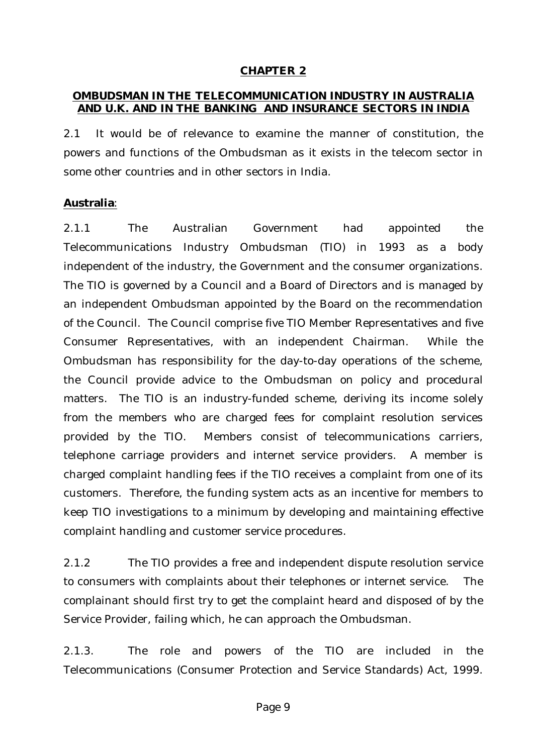#### **CHAPTER 2**

#### **OMBUDSMAN IN THE TELECOMMUNICATION INDUSTRY IN AUSTRALIA AND U.K. AND IN THE BANKING AND INSURANCE SECTORS IN INDIA**

2.1 It would be of relevance to examine the manner of constitution, the powers and functions of the Ombudsman as it exists in the telecom sector in some other countries and in other sectors in India.

#### **Australia**:

2.1.1 The Australian Government had appointed the Telecommunications Industry Ombudsman (TIO) in 1993 as a body independent of the industry, the Government and the consumer organizations. The TIO is governed by a Council and a Board of Directors and is managed by an independent Ombudsman appointed by the Board on the recommendation of the Council. The Council comprise five TIO Member Representatives and five Consumer Representatives, with an independent Chairman. While the Ombudsman has responsibility for the day-to-day operations of the scheme, the Council provide advice to the Ombudsman on policy and procedural matters. The TIO is an industry-funded scheme, deriving its income solely from the members who are charged fees for complaint resolution services provided by the TIO. Members consist of telecommunications carriers, telephone carriage providers and internet service providers. A member is charged complaint handling fees if the TIO receives a complaint from one of its customers. Therefore, the funding system acts as an incentive for members to keep TIO investigations to a minimum by developing and maintaining effective complaint handling and customer service procedures.

2.1.2 The TIO provides a free and independent dispute resolution service to consumers with complaints about their telephones or internet service. The complainant should first try to get the complaint heard and disposed of by the Service Provider, failing which, he can approach the Ombudsman.

2.1.3. The role and powers of the TIO are included in the Telecommunications (Consumer Protection and Service Standards) Act, 1999.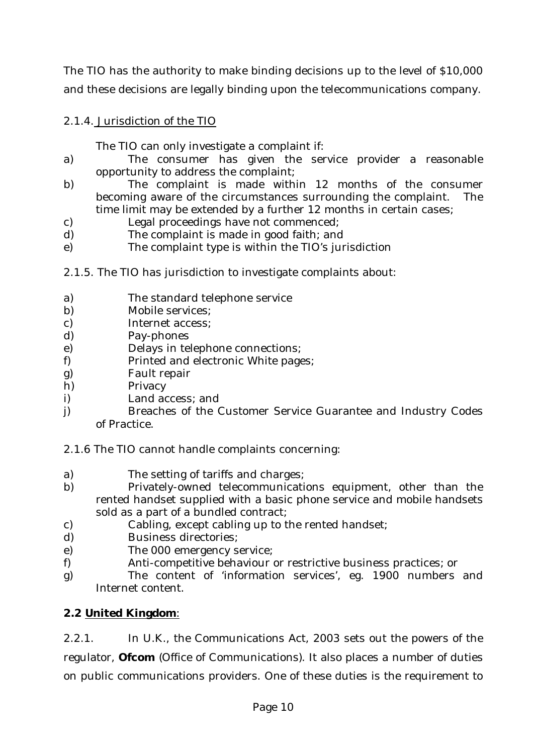The TIO has the authority to make binding decisions up to the level of \$10,000 and these decisions are legally binding upon the telecommunications company.

2.1.4. Jurisdiction of the TIO

The TIO can only investigate a complaint if:

- a) The consumer has given the service provider a reasonable opportunity to address the complaint;
- b) The complaint is made within 12 months of the consumer becoming aware of the circumstances surrounding the complaint. The time limit may be extended by a further 12 months in certain cases;
- c) Legal proceedings have not commenced;
- d) The complaint is made in good faith; and
- e) The complaint type is within the TIO's jurisdiction
- 2.1.5. The TIO has jurisdiction to investigate complaints about:
- a) The standard telephone service
- b) Mobile services;
- c) Internet access;
- d) Pay-phones
- e) Delays in telephone connections;
- f) Printed and electronic White pages;
- g) Fault repair
- h) Privacy
- i) Land access; and
- j) Breaches of the Customer Service Guarantee and Industry Codes of Practice.

2.1.6 The TIO cannot handle complaints concerning:

- a) The setting of tariffs and charges;
- b) Privately-owned telecommunications equipment, other than the rented handset supplied with a basic phone service and mobile handsets sold as a part of a bundled contract;
- c) Cabling, except cabling up to the rented handset;
- d) Business directories;
- e) The 000 emergency service;
- f) Anti-competitive behaviour or restrictive business practices; or
- g) The content of 'information services', eg. 1900 numbers and Internet content.

### **2.2 United Kingdom**:

2.2.1. In U.K., the Communications Act, 2003 sets out the powers of the regulator, **Ofcom** (Office of Communications). It also places a number of duties on public communications providers. One of these duties is the requirement to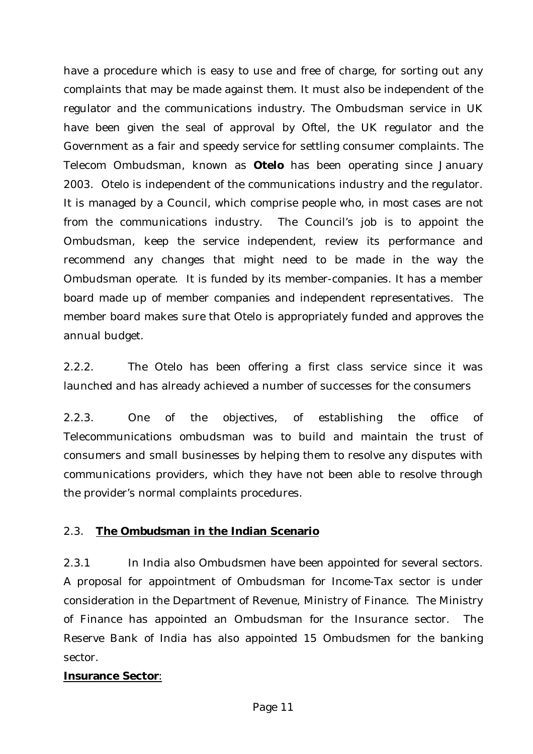have a procedure which is easy to use and free of charge, for sorting out any complaints that may be made against them. It must also be independent of the regulator and the communications industry. The Ombudsman service in UK have been given the seal of approval by Oftel, the UK regulator and the Government as a fair and speedy service for settling consumer complaints. The Telecom Ombudsman, known as **Otelo** has been operating since January 2003. Otelo is independent of the communications industry and the regulator. It is managed by a Council, which comprise people who, in most cases are not from the communications industry. The Council's job is to appoint the Ombudsman, keep the service independent, review its performance and recommend any changes that might need to be made in the way the Ombudsman operate. It is funded by its member-companies. It has a member board made up of member companies and independent representatives. The member board makes sure that Otelo is appropriately funded and approves the annual budget.

2.2.2. The Otelo has been offering a first class service since it was launched and has already achieved a number of successes for the consumers

2.2.3. One of the objectives, of establishing the office of Telecommunications ombudsman was to build and maintain the trust of consumers and small businesses by helping them to resolve any disputes with communications providers, which they have not been able to resolve through the provider's normal complaints procedures.

### 2.3. **The Ombudsman in the Indian Scenario**

2.3.1 In India also Ombudsmen have been appointed for several sectors. A proposal for appointment of Ombudsman for Income-Tax sector is under consideration in the Department of Revenue, Ministry of Finance. The Ministry of Finance has appointed an Ombudsman for the Insurance sector. The Reserve Bank of India has also appointed 15 Ombudsmen for the banking sector.

#### **Insurance Sector**: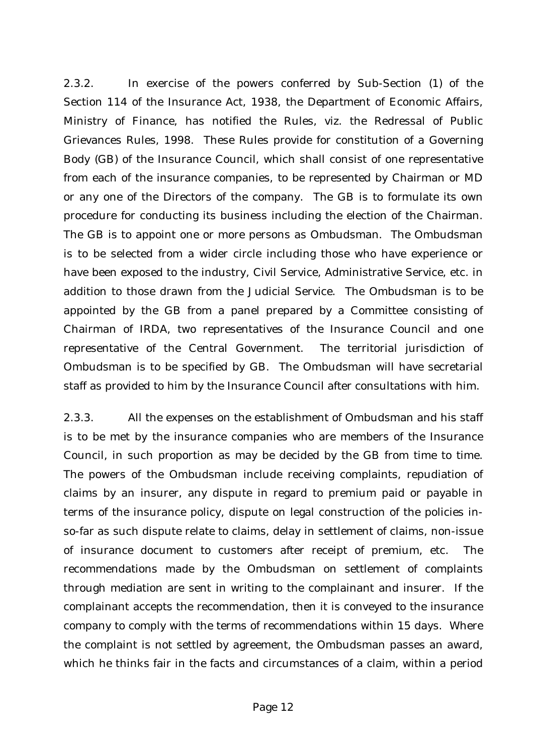2.3.2. In exercise of the powers conferred by Sub-Section (1) of the Section 114 of the Insurance Act, 1938, the Department of Economic Affairs, Ministry of Finance, has notified the Rules, viz. the Redressal of Public Grievances Rules, 1998. These Rules provide for constitution of a Governing Body (GB) of the Insurance Council, which shall consist of one representative from each of the insurance companies, to be represented by Chairman or MD or any one of the Directors of the company. The GB is to formulate its own procedure for conducting its business including the election of the Chairman. The GB is to appoint one or more persons as Ombudsman. The Ombudsman is to be selected from a wider circle including those who have experience or have been exposed to the industry, Civil Service, Administrative Service, etc. in addition to those drawn from the Judicial Service. The Ombudsman is to be appointed by the GB from a panel prepared by a Committee consisting of Chairman of IRDA, two representatives of the Insurance Council and one representative of the Central Government. The territorial jurisdiction of Ombudsman is to be specified by GB. The Ombudsman will have secretarial staff as provided to him by the Insurance Council after consultations with him.

2.3.3. All the expenses on the establishment of Ombudsman and his staff is to be met by the insurance companies who are members of the Insurance Council, in such proportion as may be decided by the GB from time to time. The powers of the Ombudsman include receiving complaints, repudiation of claims by an insurer, any dispute in regard to premium paid or payable in terms of the insurance policy, dispute on legal construction of the policies inso-far as such dispute relate to claims, delay in settlement of claims, non-issue of insurance document to customers after receipt of premium, etc. The recommendations made by the Ombudsman on settlement of complaints through mediation are sent in writing to the complainant and insurer. If the complainant accepts the recommendation, then it is conveyed to the insurance company to comply with the terms of recommendations within 15 days. Where the complaint is not settled by agreement, the Ombudsman passes an award, which he thinks fair in the facts and circumstances of a claim, within a period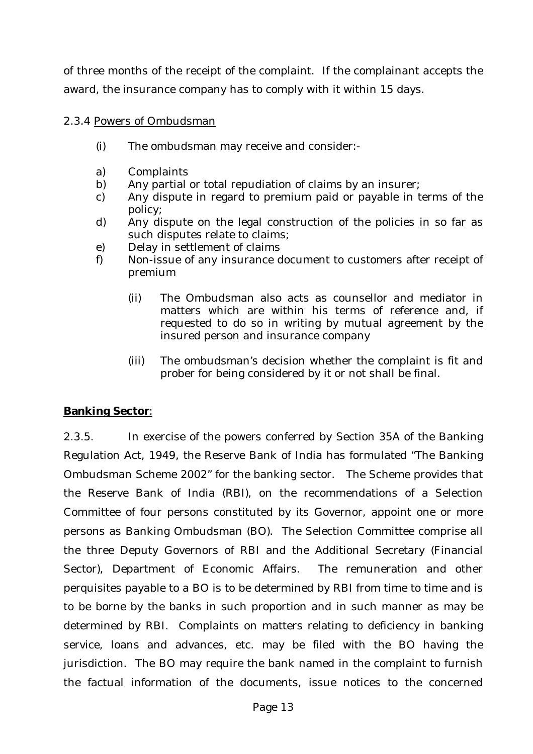of three months of the receipt of the complaint. If the complainant accepts the award, the insurance company has to comply with it within 15 days.

#### 2.3.4 Powers of Ombudsman

- (i) The ombudsman may receive and consider:-
- a) Complaints
- b) Any partial or total repudiation of claims by an insurer;
- c) Any dispute in regard to premium paid or payable in terms of the policy;
- d) Any dispute on the legal construction of the policies in so far as such disputes relate to claims;
- e) Delay in settlement of claims
- f) Non-issue of any insurance document to customers after receipt of premium
	- (ii) The Ombudsman also acts as counsellor and mediator in matters which are within his terms of reference and, if requested to do so in writing by mutual agreement by the insured person and insurance company
	- (iii) The ombudsman's decision whether the complaint is fit and prober for being considered by it or not shall be final.

### **Banking Sector**:

2.3.5. In exercise of the powers conferred by Section 35A of the Banking Regulation Act, 1949, the Reserve Bank of India has formulated "The Banking Ombudsman Scheme 2002" for the banking sector. The Scheme provides that the Reserve Bank of India (RBI), on the recommendations of a Selection Committee of four persons constituted by its Governor, appoint one or more persons as Banking Ombudsman (BO). The Selection Committee comprise all the three Deputy Governors of RBI and the Additional Secretary (Financial Sector), Department of Economic Affairs. The remuneration and other perquisites payable to a BO is to be determined by RBI from time to time and is to be borne by the banks in such proportion and in such manner as may be determined by RBI. Complaints on matters relating to deficiency in banking service, loans and advances, etc. may be filed with the BO having the jurisdiction. The BO may require the bank named in the complaint to furnish the factual information of the documents, issue notices to the concerned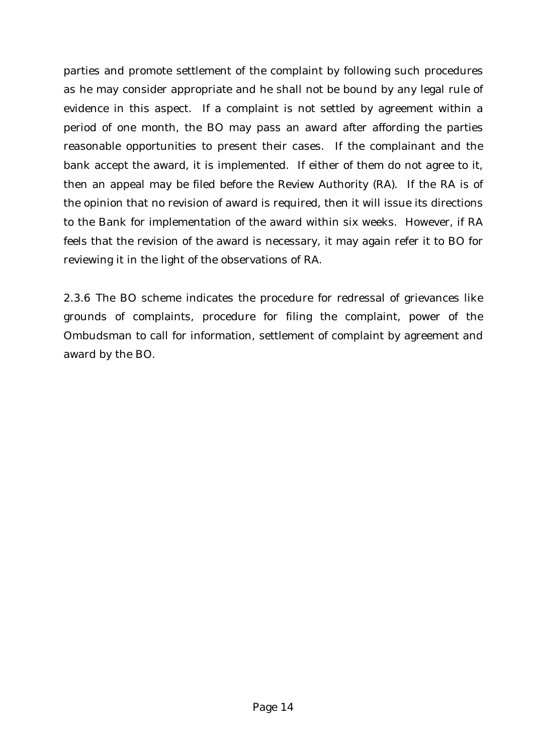parties and promote settlement of the complaint by following such procedures as he may consider appropriate and he shall not be bound by any legal rule of evidence in this aspect. If a complaint is not settled by agreement within a period of one month, the BO may pass an award after affording the parties reasonable opportunities to present their cases. If the complainant and the bank accept the award, it is implemented. If either of them do not agree to it, then an appeal may be filed before the Review Authority (RA). If the RA is of the opinion that no revision of award is required, then it will issue its directions to the Bank for implementation of the award within six weeks. However, if RA feels that the revision of the award is necessary, it may again refer it to BO for reviewing it in the light of the observations of RA.

2.3.6 The BO scheme indicates the procedure for redressal of grievances like grounds of complaints, procedure for filing the complaint, power of the Ombudsman to call for information, settlement of complaint by agreement and award by the BO.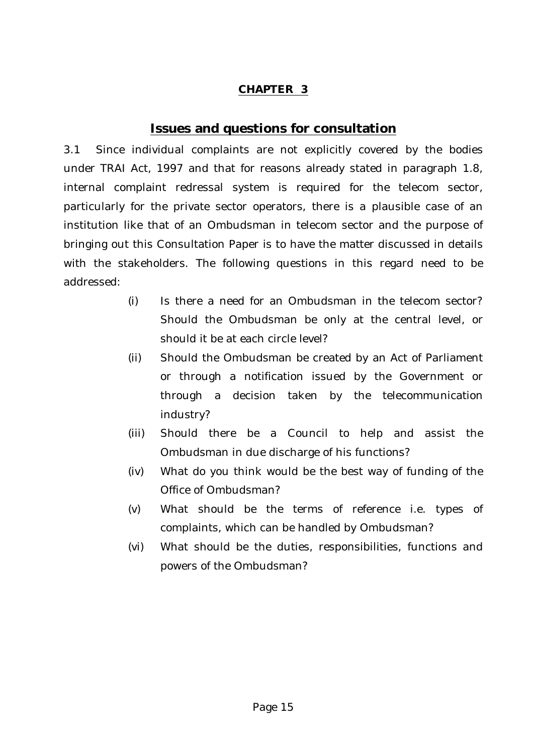#### **CHAPTER 3**

## **Issues and questions for consultation**

3.1 Since individual complaints are not explicitly covered by the bodies under TRAI Act, 1997 and that for reasons already stated in paragraph 1.8, internal complaint redressal system is required for the telecom sector, particularly for the private sector operators, there is a plausible case of an institution like that of an Ombudsman in telecom sector and the purpose of bringing out this Consultation Paper is to have the matter discussed in details with the stakeholders. The following questions in this regard need to be addressed:

- (i) Is there a need for an Ombudsman in the telecom sector? Should the Ombudsman be only at the central level, or should it be at each circle level?
- (ii) Should the Ombudsman be created by an Act of Parliament or through a notification issued by the Government or through a decision taken by the telecommunication industry?
- (iii) Should there be a Council to help and assist the Ombudsman in due discharge of his functions?
- (iv) What do you think would be the best way of funding of the Office of Ombudsman?
- (v) What should be the terms of reference i.e. types of complaints, which can be handled by Ombudsman?
- (vi) What should be the duties, responsibilities, functions and powers of the Ombudsman?